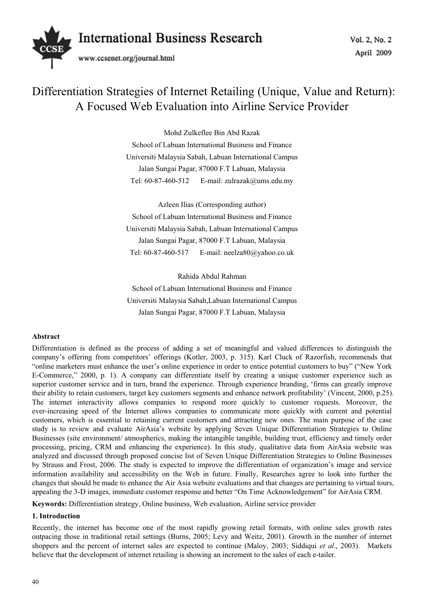

April 2009

# Differentiation Strategies of Internet Retailing (Unique, Value and Return): A Focused Web Evaluation into Airline Service Provider

Mohd Zulkeflee Bin Abd Razak School of Labuan International Business and Finance Universiti Malaysia Sabah, Labuan International Campus Jalan Sungai Pagar, 87000 F.T Labuan, Malaysia Tel: 60-87-460-512 E-mail: zulrazak@ums.edu.my

Azleen Ilias (Corresponding author) School of Labuan International Business and Finance Universiti Malaysia Sabah, Labuan International Campus Jalan Sungai Pagar, 87000 F.T Labuan, Malaysia Tel: 60-87-460-517 E-mail: neelza80@yahoo.co.uk

Rahida Abdul Rahman School of Labuan International Business and Finance Universiti Malaysia Sabah,Labuan International Campus Jalan Sungai Pagar, 87000 F.T Labuan, Malaysia

## **Abstract**

Differentiation is defined as the process of adding a set of meaningful and valued differences to distinguish the company's offering from competitors' offerings (Kotler, 2003, p. 315). Karl Cluck of Razorfish, recommends that "online marketers must enhance the user's online experience in order to entice potential customers to buy" ("New York E-Commerce," 2000, p. 1). A company can differentiate itself by creating a unique customer experience such as superior customer service and in turn, brand the experience. Through experience branding, 'firms can greatly improve their ability to retain customers, target key customers segments and enhance network profitability' (Vincent, 2000, p.25). The internet interactivity allows companies to respond more quickly to customer requests. Moreover, the ever-increasing speed of the Internet allows companies to communicate more quickly with current and potential customers, which is essential to retaining current customers and attracting new ones. The main purpose of the case study is to review and evaluate AirAsia's website by applying Seven Unique Differentiation Strategies to Online Businesses (site environment/ atmospherics, making the intangible tangible, building trust, efficiency and timely order processing, pricing, CRM and enhancing the experience). In this study, qualitative data from AirAsia website was analyzed and discussed through proposed concise list of Seven Unique Differentiation Strategies to Online Businesses by Strauss and Frost, 2006. The study is expected to improve the differentiation of organization's image and service information availability and accessibility on the Web in future. Finally, Researches agree to look into further the changes that should be made to enhance the Air Asia website evaluations and that changes are pertaining to virtual tours, appealing the 3-D images, immediate customer response and better "On Time Acknowledgement" for AirAsia CRM.

**Keywords:** Differentiation strategy, Online business, Web evaluation, Airline service provider

# **1. Introduction**

Recently, the internet has become one of the most rapidly growing retail formats, with online sales growth rates outpacing those in traditional retail settings (Burns, 2005; Levy and Weitz, 2001). Growth in the number of internet shoppers and the percent of internet sales are expected to continue (Maloy, 2003; Siddiqui *et al*., 2003). Markets believe that the development of internet retailing is showing an increment to the sales of each e-tailer.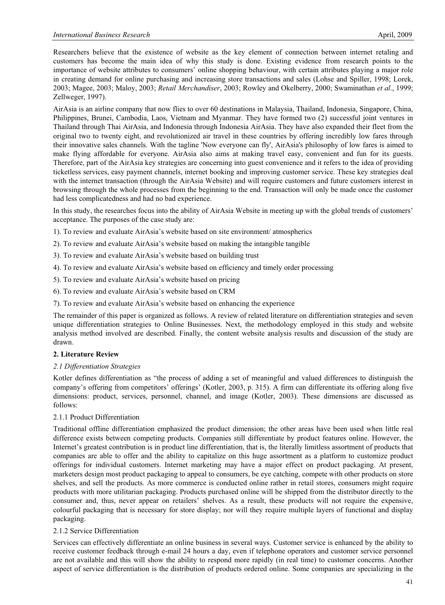Researchers believe that the existence of website as the key element of connection between internet retaling and customers has become the main idea of why this study is done. Existing evidence from research points to the importance of website attributes to consumers' online shopping behaviour, with certain attributes playing a major role in creating demand for online purchasing and increasing store transactions and sales (Lohse and Spiller, 1998; Lorek, 2003; Magee, 2003; Maloy, 2003; *Retail Merchandiser*, 2003; Rowley and Okelberry, 2000; Swaminathan *et al*., 1999; Zellweger, 1997).

AirAsia is an airline company that now flies to over 60 destinations in Malaysia, Thailand, Indonesia, Singapore, China, Philippines, Brunei, Cambodia, Laos, Vietnam and Myanmar. They have formed two (2) successful joint ventures in Thailand through Thai AirAsia, and Indonesia through Indonesia AirAsia. They have also expanded their fleet from the original two to twenty eight, and revolutionized air travel in these countries by offering incredibly low fares through their innovative sales channels. With the tagline 'Now everyone can fly', AirAsia's philosophy of low fares is aimed to make flying affordable for everyone. AirAsia also aims at making travel easy, convenient and fun for its guests. Therefore, part of the AirAsia key strategies are concerning into guest convenience and it refers to the idea of providing ticketless services, easy payment channels, internet booking and improving customer service. These key strategies deal with the internet transaction (through the AirAsia Website) and will require customers and future customers interest in browsing through the whole processes from the beginning to the end. Transaction will only be made once the customer had less complicatedness and had no bad experience.

In this study, the researches focus into the ability of AirAsia Website in meeting up with the global trends of customers' acceptance. The purposes of the case study are:

- 1). To review and evaluate AirAsia's website based on site environment/ atmospherics
- 2). To review and evaluate AirAsia's website based on making the intangible tangible
- 3). To review and evaluate AirAsia's website based on building trust
- 4). To review and evaluate AirAsia's website based on efficiency and timely order processing
- 5). To review and evaluate AirAsia's website based on pricing
- 6). To review and evaluate AirAsia's website based on CRM
- 7). To review and evaluate AirAsia's website based on enhancing the experience

The remainder of this paper is organized as follows. A review of related literature on differentiation strategies and seven unique differentiation strategies to Online Businesses. Next, the methodology employed in this study and website analysis method involved are described. Finally, the content website analysis results and discussion of the study are drawn.

## **2. Literature Review**

## *2.1 Differentiation Strategies*

Kotler defines differentiation as "the process of adding a set of meaningful and valued differences to distinguish the company's offering from competitors' offerings' (Kotler, 2003, p. 315). A firm can differentiate its offering along five dimensions: product, services, personnel, channel, and image (Kotler, 2003). These dimensions are discussed as follows:

## 2.1.1 Product Differentiation

Traditional offline differentiation emphasized the product dimension; the other areas have been used when little real difference exists between competing products. Companies still differentiate by product features online. However, the Internet's greatest contribution is in product line differentiation, that is, the literally limitless assortment of products that companies are able to offer and the ability to capitalize on this huge assortment as a platform to customize product offerings for individual customers. Internet marketing may have a major effect on product packaging. At present, marketers design most product packaging to appeal to consumers, be eye catching, compete with other products on store shelves, and sell the products. As more commerce is conducted online rather in retail stores, consumers might require products with more utilitarian packaging. Products purchased online will be shipped from the distributor directly to the consumer and, thus, never appear on retailers' shelves. As a result, these products will not require the expensive, colourful packaging that is necessary for store display; nor will they require multiple layers of functional and display packaging.

# 2.1.2 Service Differentiation

Services can effectively differentiate an online business in several ways. Customer service is enhanced by the ability to receive customer feedback through e-mail 24 hours a day, even if telephone operators and customer service personnel are not available and this will show the ability to respond more rapidly (in real time) to customer concerns. Another aspect of service differentiation is the distribution of products ordered online. Some companies are specializing in the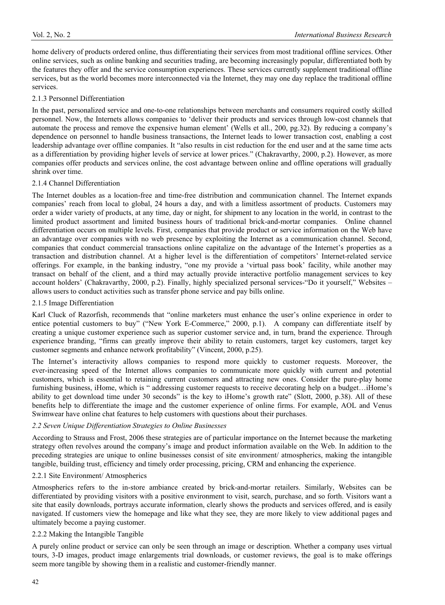home delivery of products ordered online, thus differentiating their services from most traditional offline services. Other online services, such as online banking and securities trading, are becoming increasingly popular, differentiated both by the features they offer and the service consumption experiences. These services currently supplement traditional offline services, but as the world becomes more interconnected via the Internet, they may one day replace the traditional offline services.

## 2.1.3 Personnel Differentiation

In the past, personalized service and one-to-one relationships between merchants and consumers required costly skilled personnel. Now, the Internets allows companies to 'deliver their products and services through low-cost channels that automate the process and remove the expensive human element' (Wells et all., 200, pg.32). By reducing a company's dependence on personnel to handle business transactions, the Internet leads to lower transaction cost, enabling a cost leadership advantage over offline companies. It "also results in cist reduction for the end user and at the same time acts as a differentiation by providing higher levels of service at lower prices." (Chakravarthy, 2000, p.2). However, as more companies offer products and services online, the cost advantage between online and offline operations will gradually shrink over time.

# 2.1.4 Channel Differentiation

The Internet doubles as a location-free and time-free distribution and communication channel. The Internet expands companies' reach from local to global, 24 hours a day, and with a limitless assortment of products. Customers may order a wider variety of products, at any time, day or night, for shipment to any location in the world, in contrast to the limited product assortment and limited business hours of traditional brick-and-mortar companies. Online channel differentiation occurs on multiple levels. First, companies that provide product or service information on the Web have an advantage over companies with no web presence by exploiting the Internet as a communication channel. Second, companies that conduct commercial transactions online capitalize on the advantage of the Internet's properties as a transaction and distribution channel. At a higher level is the differentiation of competitors' Internet-related service offerings. For example, in the banking industry, "one my provide a 'virtual pass book' facility, while another may transact on behalf of the client, and a third may actually provide interactive portfolio management services to key account holders' (Chakravarthy, 2000, p.2). Finally, highly specialized personal services-"Do it yourself," Websites – allows users to conduct activities such as transfer phone service and pay bills online.

## 2.1.5 Image Differentiation

Karl Cluck of Razorfish, recommends that "online marketers must enhance the user's online experience in order to entice potential customers to buy" ("New York E-Commerce," 2000, p.1). A company can differentiate itself by creating a unique customer experience such as superior customer service and, in turn, brand the experience. Through experience branding, "firms can greatly improve their ability to retain customers, target key customers, target key customer segments and enhance network profitability" (Vincent, 2000, p.25).

The Internet's interactivity allows companies to respond more quickly to customer requests. Moreover, the ever-increasing speed of the Internet allows companies to communicate more quickly with current and potential customers, which is essential to retaining current customers and attracting new ones. Consider the pure-play home furnishing business, iHome, which is " addressing customer requests to receive decorating help on a budget...iHome's ability to get download time under 30 seconds" is the key to iHome's growth rate" (Slott, 2000, p.38). All of these benefits help to differentiate the image and the customer experience of online firms. For example, AOL and Venus Swimwear have online chat features to help customers with questions about their purchases.

## *2.2 Seven Unique Differentiation Strategies to Online Businesses*

According to Strauss and Frost, 2006 these strategies are of particular importance on the Internet because the marketing strategy often revolves around the company's image and product information available on the Web. In addition to the preceding strategies are unique to online businesses consist of site environment/ atmospherics, making the intangible tangible, building trust, efficiency and timely order processing, pricing, CRM and enhancing the experience.

## 2.2.1 Site Environment/ Atmospherics

Atmospherics refers to the in-store ambiance created by brick-and-mortar retailers. Similarly, Websites can be differentiated by providing visitors with a positive environment to visit, search, purchase, and so forth. Visitors want a site that easily downloads, portrays accurate information, clearly shows the products and services offered, and is easily navigated. If customers view the homepage and like what they see, they are more likely to view additional pages and ultimately become a paying customer.

## 2.2.2 Making the Intangible Tangible

A purely online product or service can only be seen through an image or description. Whether a company uses virtual tours, 3-D images, product image enlargements trial downloads, or customer reviews, the goal is to make offerings seem more tangible by showing them in a realistic and customer-friendly manner.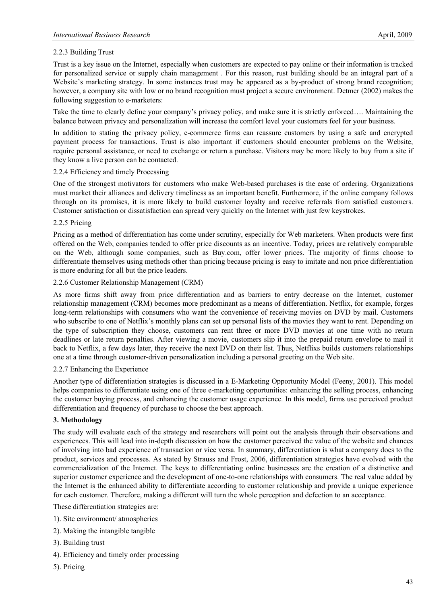# 2.2.3 Building Trust

Trust is a key issue on the Internet, especially when customers are expected to pay online or their information is tracked for personalized service or supply chain management . For this reason, rust building should be an integral part of a Website's marketing strategy. In some instances trust may be appeared as a by-product of strong brand recognition; however, a company site with low or no brand recognition must project a secure environment. Detmer (2002) makes the following suggestion to e-marketers:

Take the time to clearly define your company's privacy policy, and make sure it is strictly enforced…. Maintaining the balance between privacy and personalization will increase the comfort level your customers feel for your business.

In addition to stating the privacy policy, e-commerce firms can reassure customers by using a safe and encrypted payment process for transactions. Trust is also important if customers should encounter problems on the Website, require personal assistance, or need to exchange or return a purchase. Visitors may be more likely to buy from a site if they know a live person can be contacted.

# 2.2.4 Efficiency and timely Processing

One of the strongest motivators for customers who make Web-based purchases is the ease of ordering. Organizations must market their alliances and delivery timeliness as an important benefit. Furthermore, if the online company follows through on its promises, it is more likely to build customer loyalty and receive referrals from satisfied customers. Customer satisfaction or dissatisfaction can spread very quickly on the Internet with just few keystrokes.

# 2.2.5 Pricing

Pricing as a method of differentiation has come under scrutiny, especially for Web marketers. When products were first offered on the Web, companies tended to offer price discounts as an incentive. Today, prices are relatively comparable on the Web, although some companies, such as Buy.com, offer lower prices. The majority of firms choose to differentiate themselves using methods other than pricing because pricing is easy to imitate and non price differentiation is more enduring for all but the price leaders.

# 2.2.6 Customer Relationship Management (CRM)

As more firms shift away from price differentiation and as barriers to entry decrease on the Internet, customer relationship management (CRM) becomes more predominant as a means of differentiation. Netflix, for example, forges long-term relationships with consumers who want the convenience of receiving movies on DVD by mail. Customers who subscribe to one of Netflix's monthly plans can set up personal lists of the movies they want to rent. Depending on the type of subscription they choose, customers can rent three or more DVD movies at one time with no return deadlines or late return penalties. After viewing a movie, customers slip it into the prepaid return envelope to mail it back to Netflix, a few days later, they receive the next DVD on their list. Thus, Netflixs builds customers relationships one at a time through customer-driven personalization including a personal greeting on the Web site.

# 2.2.7 Enhancing the Experience

Another type of differentiation strategies is discussed in a E-Marketing Opportunity Model (Feeny, 2001). This model helps companies to differentiate using one of three e-marketing opportunities: enhancing the selling process, enhancing the customer buying process, and enhancing the customer usage experience. In this model, firms use perceived product differentiation and frequency of purchase to choose the best approach.

# **3. Methodology**

The study will evaluate each of the strategy and researchers will point out the analysis through their observations and experiences. This will lead into in-depth discussion on how the customer perceived the value of the website and chances of involving into bad experience of transaction or vice versa. In summary, differentiation is what a company does to the product, services and processes. As stated by Strauss and Frost, 2006, differentiation strategies have evolved with the commercialization of the Internet. The keys to differentiating online businesses are the creation of a distinctive and superior customer experience and the development of one-to-one relationships with consumers. The real value added by the Internet is the enhanced ability to differentiate according to customer relationship and provide a unique experience for each customer. Therefore, making a different will turn the whole perception and defection to an acceptance.

These differentiation strategies are:

- 1). Site environment/ atmospherics
- 2). Making the intangible tangible
- 3). Building trust
- 4). Efficiency and timely order processing
- 5). Pricing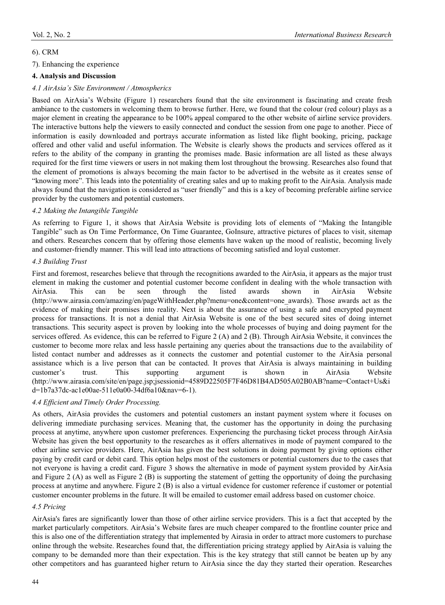# 6). CRM

# 7). Enhancing the experience

# **4. Analysis and Discussion**

# *4.1 AirAsia's Site Environment / Atmospherics*

Based on AirAsia's Website (Figure 1) researchers found that the site environment is fascinating and create fresh ambiance to the customers in welcoming them to browse further. Here, we found that the colour (red colour) plays as a major element in creating the appearance to be 100% appeal compared to the other website of airline service providers. The interactive buttons help the viewers to easily connected and conduct the session from one page to another. Piece of information is easily downloaded and portrays accurate information as listed like flight booking, pricing, package offered and other valid and useful information. The Website is clearly shows the products and services offered as it refers to the ability of the company in granting the promises made. Basic information are all listed as these always required for the first time viewers or users in not making them lost throughout the browsing. Researches also found that the element of promotions is always becoming the main factor to be advertised in the website as it creates sense of "knowing more". This leads into the potentiality of creating sales and up to making profit to the AirAsia. Analysis made always found that the navigation is considered as "user friendly" and this is a key of becoming preferable airline service provider by the customers and potential customers.

# *4.2 Making the Intangible Tangible*

As referring to Figure 1, it shows that AirAsia Website is providing lots of elements of "Making the Intangible Tangible" such as On Time Performance, On Time Guarantee, GoInsure, attractive pictures of places to visit, sitemap and others. Researches concern that by offering those elements have waken up the mood of realistic, becoming lively and customer-friendly manner. This will lead into attractions of becoming satisfied and loyal customer.

# *4.3 Building Trust*

First and foremost, researches believe that through the recognitions awarded to the AirAsia, it appears as the major trust element in making the customer and potential customer become confident in dealing with the whole transaction with AirAsia. This can be seen through the listed awards shown in AirAsia Website (http://www.airasia.com/amazing/en/pageWithHeader.php?menu=one&content=one\_awards). Those awards act as the evidence of making their promises into reality. Next is about the assurance of using a safe and encrypted payment process for transactions. It is not a denial that AirAsia Website is one of the best secured sites of doing internet transactions. This security aspect is proven by looking into the whole processes of buying and doing payment for the services offered. As evidence, this can be referred to Figure 2 (A) and 2 (B). Through AirAsia Website, it convinces the customer to become more relax and less hassle pertaining any queries about the transactions due to the availability of listed contact number and addresses as it connects the customer and potential customer to the AirAsia personal assistance which is a live person that can be contacted. It proves that AirAsia is always maintaining in building customer's trust. This supporting argument is shown in AirAsia Website (http://www.airasia.com/site/en/page.jsp;jsessionid=4589D22505F7F46D81B4AD505A02B0AB?name=Contact+Us&i d=1b7a37dc-ac1e00ae-511e0a00-34df6a10&nav=6-1).

## *4.4 Efficient and Timely Order Processing.*

As others, AirAsia provides the customers and potential customers an instant payment system where it focuses on delivering immediate purchasing services. Meaning that, the customer has the opportunity in doing the purchasing process at anytime, anywhere upon customer preferences. Experiencing the purchasing ticket process through AirAsia Website has given the best opportunity to the researches as it offers alternatives in mode of payment compared to the other airline service providers. Here, AirAsia has given the best solutions in doing payment by giving options either paying by credit card or debit card. This option helps most of the customers or potential customers due to the cases that not everyone is having a credit card. Figure 3 shows the alternative in mode of payment system provided by AirAsia and Figure 2 (A) as well as Figure 2 (B) is supporting the statement of getting the opportunity of doing the purchasing process at anytime and anywhere. Figure 2 (B) is also a virtual evidence for customer reference if customer or potential customer encounter problems in the future. It will be emailed to customer email address based on customer choice.

# *4.5 Pricing*

AirAsia's fares are significantly lower than those of other airline service providers. This is a fact that accepted by the market particularly competitors. AirAsia's Website fares are much cheaper compared to the frontline counter price and this is also one of the differentiation strategy that implemented by Airasia in order to attract more customers to purchase online through the website. Researches found that, the differentiation pricing strategy applied by AirAsia is valuing the company to be demanded more than their expectation. This is the key strategy that still cannot be beaten up by any other competitors and has guaranteed higher return to AirAsia since the day they started their operation. Researches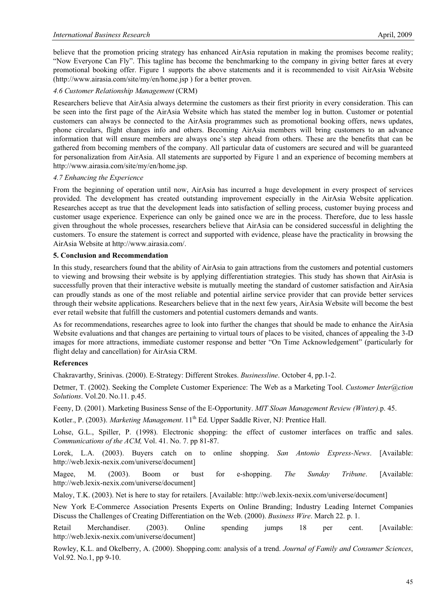believe that the promotion pricing strategy has enhanced AirAsia reputation in making the promises become reality; "Now Everyone Can Fly". This tagline has become the benchmarking to the company in giving better fares at every promotional booking offer. Figure 1 supports the above statements and it is recommended to visit AirAsia Website (http://www.airasia.com/site/my/en/home.jsp ) for a better proven.

# *4.6 Customer Relationship Management* (CRM)

Researchers believe that AirAsia always determine the customers as their first priority in every consideration. This can be seen into the first page of the AirAsia Website which has stated the member log in button. Customer or potential customers can always be connected to the AirAsia programmes such as promotional booking offers, news updates, phone circulars, flight changes info and others. Becoming AirAsia members will bring customers to an advance information that will ensure members are always one's step ahead from others. These are the benefits that can be gathered from becoming members of the company. All particular data of customers are secured and will be guaranteed for personalization from AirAsia. All statements are supported by Figure 1 and an experience of becoming members at http://www.airasia.com/site/my/en/home.jsp.

# *4.7 Enhancing the Experience*

From the beginning of operation until now, AirAsia has incurred a huge development in every prospect of services provided. The development has created outstanding improvement especially in the AirAsia Website application. Researches accept as true that the development leads into satisfaction of selling process, customer buying process and customer usage experience. Experience can only be gained once we are in the process. Therefore, due to less hassle given throughout the whole processes, researchers believe that AirAsia can be considered successful in delighting the customers. To ensure the statement is correct and supported with evidence, please have the practicality in browsing the AirAsia Website at http://www.airasia.com/.

# **5. Conclusion and Recommendation**

In this study, researchers found that the ability of AirAsia to gain attractions from the customers and potential customers to viewing and browsing their website is by applying differentiation strategies. This study has shown that AirAsia is successfully proven that their interactive website is mutually meeting the standard of customer satisfaction and AirAsia can proudly stands as one of the most reliable and potential airline service provider that can provide better services through their website applications. Researchers believe that in the next few years, AirAsia Website will become the best ever retail website that fulfill the customers and potential customers demands and wants.

As for recommendations, researches agree to look into further the changes that should be made to enhance the AirAsia Website evaluations and that changes are pertaining to virtual tours of places to be visited, chances of appealing the 3-D images for more attractions, immediate customer response and better "On Time Acknowledgement" (particularly for flight delay and cancellation) for AirAsia CRM.

# **References**

Chakravarthy, Srinivas. (2000). E-Strategy: Different Strokes. *Businessline*. October 4, pp.1-2.

Detmer, T. (2002). Seeking the Complete Customer Experience: The Web as a Marketing Tool. *Customer Inter@ction Solutions*. Vol.20. No.11. p.45.

Feeny, D. (2001). Marketing Business Sense of the E-Opportunity. *MIT Sloan Management Review (Winter)*.p. 45.

Kotler., P. (2003). *Marketing Management*. 11<sup>th</sup> Ed. Upper Saddle River, NJ: Prentice Hall.

Lohse, G.L., Spiller, P. (1998). Electronic shopping: the effect of customer interfaces on traffic and sales. *Communications of the ACM,* Vol. 41. No. 7. pp 81-87.

Lorek, L.A. (2003). Buyers catch on to online shopping. *San Antonio Express-News*. [Available: http://web.lexix-nexix.com/universe/document]

Magee, M. (2003). Boom or bust for e-shopping. *The Sunday Tribune*. [Available: http://web.lexix-nexix.com/universe/document]

Maloy, T.K. (2003). Net is here to stay for retailers. [Available: http://web.lexix-nexix.com/universe/document]

New York E-Commerce Association Presents Experts on Online Branding; Industry Leading Internet Companies Discuss the Challenges of Creating Differentiation on the Web. (2000). *Business Wire*. March 22. p. 1.

Retail Merchandiser. (2003). Online spending jumps 18 per cent. [Available: http://web.lexix-nexix.com/universe/document]

Rowley, K.L. and Okelberry, A. (2000). Shopping.com: analysis of a trend. *Journal of Family and Consumer Sciences*, Vol.92. No.1, pp 9-10.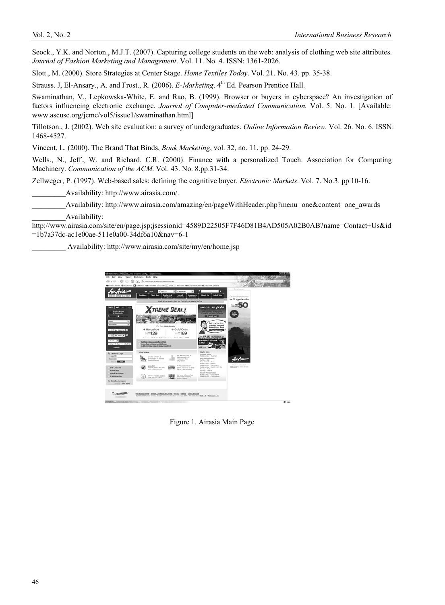Seock., Y.K. and Norton., M.J.T. (2007). Capturing college students on the web: analysis of clothing web site attributes. *Journal of Fashion Marketing and Management*. Vol. 11. No. 4. ISSN: 1361-2026.

Slott., M. (2000). Store Strategies at Center Stage. *Home Textiles Today*. Vol. 21. No. 43. pp. 35-38.

Strauss. J, El-Ansary., A. and Frost., R. (2006). *E-Marketing*. 4<sup>th</sup> Ed. Pearson Prentice Hall.

Swaminathan, V., Lepkowska-White, E. and Rao, B. (1999). Browser or buyers in cyberspace? An investigation of factors influencing electronic exchange. *Journal of Computer-mediated Communication.* Vol. 5. No. 1. [Available: www.ascusc.org/jcmc/vol5/issue1/swaminathan.html]

Tillotson., J. (2002). Web site evaluation: a survey of undergraduates. *Online Information Review*. Vol. 26. No. 6. ISSN: 1468-4527.

Vincent, L. (2000). The Brand That Binds, *Bank Marketing*, vol. 32, no. 11, pp. 24-29.

Wells., N., Jeff., W. and Richard. C.R. (2000). Finance with a personalized Touch. Association for Computing Machinery. *Communication of the ACM*. Vol. 43. No. 8.pp.31-34.

Zellweger, P. (1997). Web-based sales: defining the cognitive buyer. *Electronic Markets*. Vol. 7. No.3. pp 10-16.

Availability: http://www.airasia.com/.

\_\_\_\_\_\_\_\_\_Availability: http://www.airasia.com/amazing/en/pageWithHeader.php?menu=one&content=one\_awards

Availability:

http://www.airasia.com/site/en/page.jsp;jsessionid=4589D22505F7F46D81B4AD505A02B0AB?name=Contact+Us&id =1b7a37dc-ac1e00ae-511e0a00-34df6a10&nav=6-1

Availability: http://www.airasia.com/site/my/en/home.jsp



Figure 1. Airasia Main Page